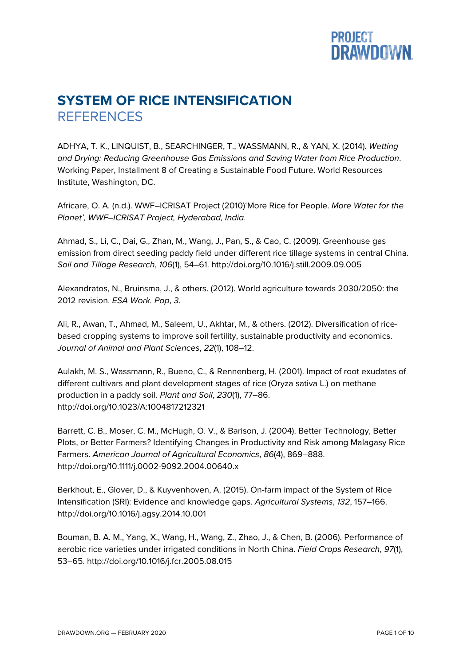## **PROJECT<br>DRAWDOWN.**

## **SYSTEM OF RICE INTENSIFICATION REFERENCES**

ADHYA, T. K., LINQUIST, B., SEARCHINGER, T., WASSMANN, R., & YAN, X. (2014). *Wetting and Drying: Reducing Greenhouse Gas Emissions and Saving Water from Rice Production*. Working Paper, Installment 8 of Creating a Sustainable Food Future. World Resources Institute, Washington, DC.

Africare, O. A. (n.d.). WWF–ICRISAT Project (2010)'More Rice for People. *More Water for the Planet', WWF–ICRISAT Project, Hyderabad, India*.

Ahmad, S., Li, C., Dai, G., Zhan, M., Wang, J., Pan, S., & Cao, C. (2009). Greenhouse gas emission from direct seeding paddy field under different rice tillage systems in central China. *Soil and Tillage Research*, *106*(1), 54–61. http://doi.org/10.1016/j.still.2009.09.005

Alexandratos, N., Bruinsma, J., & others. (2012). World agriculture towards 2030/2050: the 2012 revision. *ESA Work. Pap*, *3*.

Ali, R., Awan, T., Ahmad, M., Saleem, U., Akhtar, M., & others. (2012). Diversification of ricebased cropping systems to improve soil fertility, sustainable productivity and economics. *Journal of Animal and Plant Sciences*, *22*(1), 108–12.

Aulakh, M. S., Wassmann, R., Bueno, C., & Rennenberg, H. (2001). Impact of root exudates of different cultivars and plant development stages of rice (Oryza sativa L.) on methane production in a paddy soil. *Plant and Soil*, *230*(1), 77–86. http://doi.org/10.1023/A:1004817212321

Barrett, C. B., Moser, C. M., McHugh, O. V., & Barison, J. (2004). Better Technology, Better Plots, or Better Farmers? Identifying Changes in Productivity and Risk among Malagasy Rice Farmers. *American Journal of Agricultural Economics*, *86*(4), 869–888. http://doi.org/10.1111/j.0002-9092.2004.00640.x

Berkhout, E., Glover, D., & Kuyvenhoven, A. (2015). On-farm impact of the System of Rice Intensification (SRI): Evidence and knowledge gaps. *Agricultural Systems*, *132*, 157–166. http://doi.org/10.1016/j.agsy.2014.10.001

Bouman, B. A. M., Yang, X., Wang, H., Wang, Z., Zhao, J., & Chen, B. (2006). Performance of aerobic rice varieties under irrigated conditions in North China. *Field Crops Research*, *97*(1), 53–65. http://doi.org/10.1016/j.fcr.2005.08.015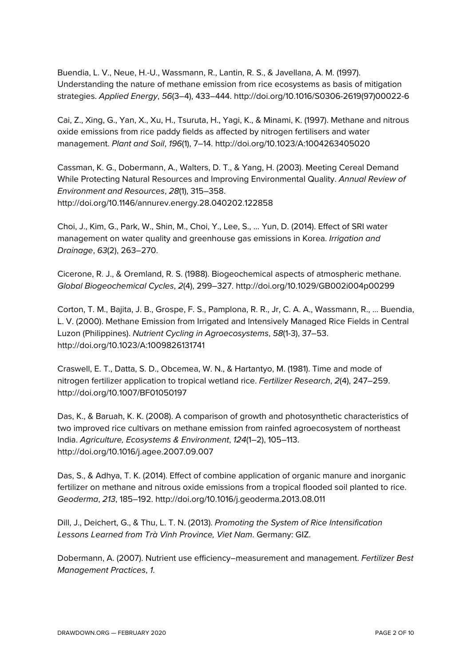Buendia, L. V., Neue, H.-U., Wassmann, R., Lantin, R. S., & Javellana, A. M. (1997). Understanding the nature of methane emission from rice ecosystems as basis of mitigation strategies. *Applied Energy*, *56*(3–4), 433–444. http://doi.org/10.1016/S0306-2619(97)00022-6

Cai, Z., Xing, G., Yan, X., Xu, H., Tsuruta, H., Yagi, K., & Minami, K. (1997). Methane and nitrous oxide emissions from rice paddy fields as affected by nitrogen fertilisers and water management. *Plant and Soil*, *196*(1), 7–14. http://doi.org/10.1023/A:1004263405020

Cassman, K. G., Dobermann, A., Walters, D. T., & Yang, H. (2003). Meeting Cereal Demand While Protecting Natural Resources and Improving Environmental Quality. *Annual Review of Environment and Resources*, *28*(1), 315–358. http://doi.org/10.1146/annurev.energy.28.040202.122858

Choi, J., Kim, G., Park, W., Shin, M., Choi, Y., Lee, S., … Yun, D. (2014). Effect of SRI water management on water quality and greenhouse gas emissions in Korea. *Irrigation and Drainage*, *63*(2), 263–270.

Cicerone, R. J., & Oremland, R. S. (1988). Biogeochemical aspects of atmospheric methane. *Global Biogeochemical Cycles*, *2*(4), 299–327. http://doi.org/10.1029/GB002i004p00299

Corton, T. M., Bajita, J. B., Grospe, F. S., Pamplona, R. R., Jr, C. A. A., Wassmann, R., … Buendia, L. V. (2000). Methane Emission from Irrigated and Intensively Managed Rice Fields in Central Luzon (Philippines). *Nutrient Cycling in Agroecosystems*, *58*(1-3), 37–53. http://doi.org/10.1023/A:1009826131741

Craswell, E. T., Datta, S. D., Obcemea, W. N., & Hartantyo, M. (1981). Time and mode of nitrogen fertilizer application to tropical wetland rice. *Fertilizer Research*, *2*(4), 247–259. http://doi.org/10.1007/BF01050197

Das, K., & Baruah, K. K. (2008). A comparison of growth and photosynthetic characteristics of two improved rice cultivars on methane emission from rainfed agroecosystem of northeast India. *Agriculture, Ecosystems & Environment*, *124*(1–2), 105–113. http://doi.org/10.1016/j.agee.2007.09.007

Das, S., & Adhya, T. K. (2014). Effect of combine application of organic manure and inorganic fertilizer on methane and nitrous oxide emissions from a tropical flooded soil planted to rice. *Geoderma*, *213*, 185–192. http://doi.org/10.1016/j.geoderma.2013.08.011

Dill, J., Deichert, G., & Thu, L. T. N. (2013). *Promoting the System of Rice Intensification Lessons Learned from Trà Vinh Province, Viet Nam*. Germany: GIZ.

Dobermann, A. (2007). Nutrient use efficiency–measurement and management. *Fertilizer Best Management Practices*, *1*.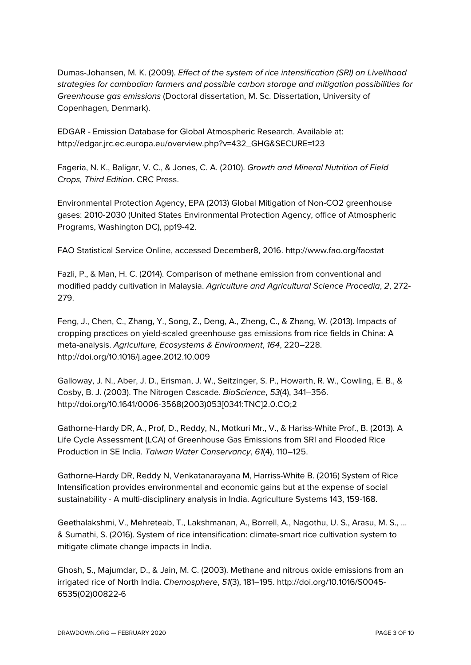Dumas-Johansen, M. K. (2009). *Effect of the system of rice intensification (SRI) on Livelihood strategies for cambodian farmers and possible carbon storage and mitigation possibilities for Greenhouse gas emissions* (Doctoral dissertation, M. Sc. Dissertation, University of Copenhagen, Denmark).

EDGAR - Emission Database for Global Atmospheric Research. Available at: http://edgar.jrc.ec.europa.eu/overview.php?v=432\_GHG&SECURE=123

Fageria, N. K., Baligar, V. C., & Jones, C. A. (2010). *Growth and Mineral Nutrition of Field Crops, Third Edition*. CRC Press.

Environmental Protection Agency, EPA (2013) Global Mitigation of Non-CO2 greenhouse gases: 2010-2030 (United States Environmental Protection Agency, office of Atmospheric Programs, Washington DC), pp19-42.

FAO Statistical Service Online, accessed December8, 2016. http://www.fao.org/faostat

Fazli, P., & Man, H. C. (2014). Comparison of methane emission from conventional and modified paddy cultivation in Malaysia. *Agriculture and Agricultural Science Procedia*, *2*, 272- 279.

Feng, J., Chen, C., Zhang, Y., Song, Z., Deng, A., Zheng, C., & Zhang, W. (2013). Impacts of cropping practices on yield-scaled greenhouse gas emissions from rice fields in China: A meta-analysis. *Agriculture, Ecosystems & Environment*, *164*, 220–228. http://doi.org/10.1016/j.agee.2012.10.009

Galloway, J. N., Aber, J. D., Erisman, J. W., Seitzinger, S. P., Howarth, R. W., Cowling, E. B., & Cosby, B. J. (2003). The Nitrogen Cascade. *BioScience*, *53*(4), 341–356. http://doi.org/10.1641/0006-3568(2003)053[0341:TNC]2.0.CO;2

Gathorne-Hardy DR, A., Prof, D., Reddy, N., Motkuri Mr., V., & Hariss-White Prof., B. (2013). A Life Cycle Assessment (LCA) of Greenhouse Gas Emissions from SRI and Flooded Rice Production in SE India. *Taiwan Water Conservancy*, *61*(4), 110–125.

Gathorne-Hardy DR, Reddy N, Venkatanarayana M, Harriss-White B. (2016) System of Rice Intensification provides environmental and economic gains but at the expense of social sustainability - A multi-disciplinary analysis in India. Agriculture Systems 143, 159-168.

Geethalakshmi, V., Mehreteab, T., Lakshmanan, A., Borrell, A., Nagothu, U. S., Arasu, M. S., ... & Sumathi, S. (2016). System of rice intensification: climate-smart rice cultivation system to mitigate climate change impacts in India.

Ghosh, S., Majumdar, D., & Jain, M. C. (2003). Methane and nitrous oxide emissions from an irrigated rice of North India. *Chemosphere*, *51*(3), 181–195. http://doi.org/10.1016/S0045- 6535(02)00822-6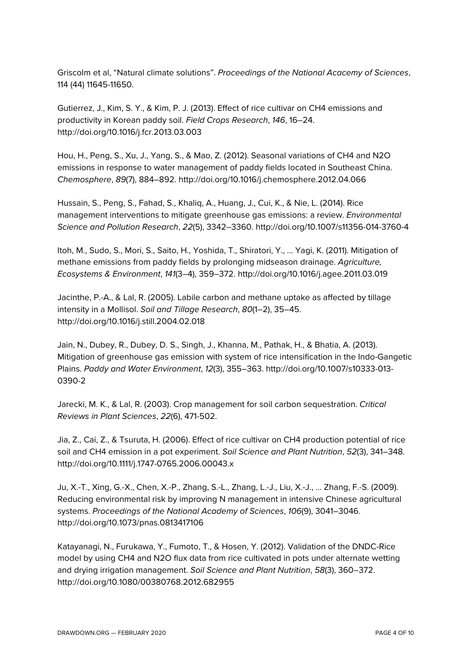Griscolm et al, "Natural climate solutions". *Proceedings of the National Acacemy of Sciences*, 114 (44) 11645-11650.

Gutierrez, J., Kim, S. Y., & Kim, P. J. (2013). Effect of rice cultivar on CH4 emissions and productivity in Korean paddy soil. *Field Crops Research*, *146*, 16–24. http://doi.org/10.1016/j.fcr.2013.03.003

Hou, H., Peng, S., Xu, J., Yang, S., & Mao, Z. (2012). Seasonal variations of CH4 and N2O emissions in response to water management of paddy fields located in Southeast China. *Chemosphere*, *89*(7), 884–892. http://doi.org/10.1016/j.chemosphere.2012.04.066

Hussain, S., Peng, S., Fahad, S., Khaliq, A., Huang, J., Cui, K., & Nie, L. (2014). Rice management interventions to mitigate greenhouse gas emissions: a review. *Environmental Science and Pollution Research*, *22*(5), 3342–3360. http://doi.org/10.1007/s11356-014-3760-4

Itoh, M., Sudo, S., Mori, S., Saito, H., Yoshida, T., Shiratori, Y., … Yagi, K. (2011). Mitigation of methane emissions from paddy fields by prolonging midseason drainage. *Agriculture, Ecosystems & Environment*, *141*(3–4), 359–372. http://doi.org/10.1016/j.agee.2011.03.019

Jacinthe, P.-A., & Lal, R. (2005). Labile carbon and methane uptake as affected by tillage intensity in a Mollisol. *Soil and Tillage Research*, *80*(1–2), 35–45. http://doi.org/10.1016/j.still.2004.02.018

Jain, N., Dubey, R., Dubey, D. S., Singh, J., Khanna, M., Pathak, H., & Bhatia, A. (2013). Mitigation of greenhouse gas emission with system of rice intensification in the Indo-Gangetic Plains. *Paddy and Water Environment*, *12*(3), 355–363. http://doi.org/10.1007/s10333-013- 0390-2

Jarecki, M. K., & Lal, R. (2003). Crop management for soil carbon sequestration. *Critical Reviews in Plant Sciences*, *22*(6), 471-502.

Jia, Z., Cai, Z., & Tsuruta, H. (2006). Effect of rice cultivar on CH4 production potential of rice soil and CH4 emission in a pot experiment. *Soil Science and Plant Nutrition*, *52*(3), 341–348. http://doi.org/10.1111/j.1747-0765.2006.00043.x

Ju, X.-T., Xing, G.-X., Chen, X.-P., Zhang, S.-L., Zhang, L.-J., Liu, X.-J., … Zhang, F.-S. (2009). Reducing environmental risk by improving N management in intensive Chinese agricultural systems. *Proceedings of the National Academy of Sciences*, *106*(9), 3041–3046. http://doi.org/10.1073/pnas.0813417106

Katayanagi, N., Furukawa, Y., Fumoto, T., & Hosen, Y. (2012). Validation of the DNDC-Rice model by using CH4 and N2O flux data from rice cultivated in pots under alternate wetting and drying irrigation management. *Soil Science and Plant Nutrition*, *58*(3), 360–372. http://doi.org/10.1080/00380768.2012.682955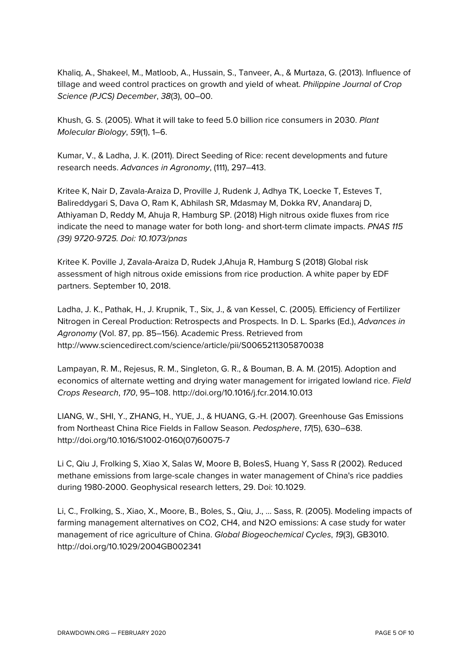Khaliq, A., Shakeel, M., Matloob, A., Hussain, S., Tanveer, A., & Murtaza, G. (2013). Influence of tillage and weed control practices on growth and yield of wheat. *Philippine Journal of Crop Science (PJCS) December*, *38*(3), 00–00.

Khush, G. S. (2005). What it will take to feed 5.0 billion rice consumers in 2030. *Plant Molecular Biology*, *59*(1), 1–6.

Kumar, V., & Ladha, J. K. (2011). Direct Seeding of Rice: recent developments and future research needs. *Advances in Agronomy*, (111), 297–413.

Kritee K, Nair D, Zavala-Araiza D, Proville J, Rudenk J, Adhya TK, Loecke T, Esteves T, Balireddygari S, Dava O, Ram K, Abhilash SR, Mdasmay M, Dokka RV, Anandaraj D, Athiyaman D, Reddy M, Ahuja R, Hamburg SP. (2018) High nitrous oxide fluxes from rice indicate the need to manage water for both long- and short-term climate impacts. *PNAS 115 (39) 9720-9725. Doi: 10.1073/pnas*

Kritee K. Poville J, Zavala-Araiza D, Rudek J,Ahuja R, Hamburg S (2018) Global risk assessment of high nitrous oxide emissions from rice production. A white paper by EDF partners. September 10, 2018.

Ladha, J. K., Pathak, H., J. Krupnik, T., Six, J., & van Kessel, C. (2005). Efficiency of Fertilizer Nitrogen in Cereal Production: Retrospects and Prospects. In D. L. Sparks (Ed.), *Advances in Agronomy* (Vol. 87, pp. 85–156). Academic Press. Retrieved from http://www.sciencedirect.com/science/article/pii/S0065211305870038

Lampayan, R. M., Rejesus, R. M., Singleton, G. R., & Bouman, B. A. M. (2015). Adoption and economics of alternate wetting and drying water management for irrigated lowland rice. *Field Crops Research*, *170*, 95–108. http://doi.org/10.1016/j.fcr.2014.10.013

LIANG, W., SHI, Y., ZHANG, H., YUE, J., & HUANG, G.-H. (2007). Greenhouse Gas Emissions from Northeast China Rice Fields in Fallow Season. *Pedosphere*, *17*(5), 630–638. http://doi.org/10.1016/S1002-0160(07)60075-7

Li C, Qiu J, Frolking S, Xiao X, Salas W, Moore B, BolesS, Huang Y, Sass R (2002). Reduced methane emissions from large-scale changes in water management of China's rice paddies during 1980-2000. Geophysical research letters, 29. Doi: 10.1029.

Li, C., Frolking, S., Xiao, X., Moore, B., Boles, S., Qiu, J., … Sass, R. (2005). Modeling impacts of farming management alternatives on CO2, CH4, and N2O emissions: A case study for water management of rice agriculture of China. *Global Biogeochemical Cycles*, *19*(3), GB3010. http://doi.org/10.1029/2004GB002341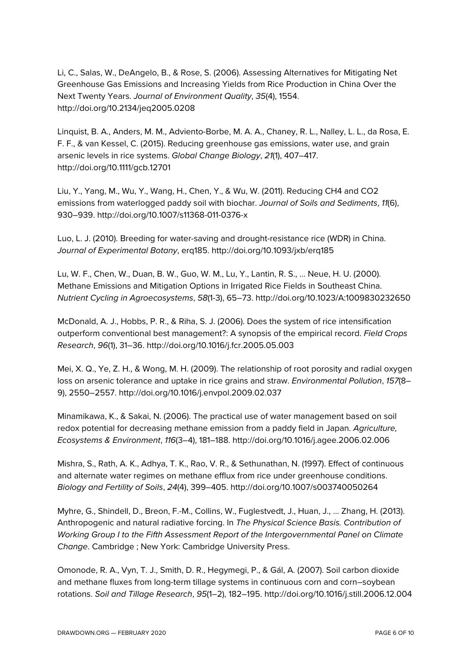Li, C., Salas, W., DeAngelo, B., & Rose, S. (2006). Assessing Alternatives for Mitigating Net Greenhouse Gas Emissions and Increasing Yields from Rice Production in China Over the Next Twenty Years. *Journal of Environment Quality*, *35*(4), 1554. http://doi.org/10.2134/jeq2005.0208

Linquist, B. A., Anders, M. M., Adviento-Borbe, M. A. A., Chaney, R. L., Nalley, L. L., da Rosa, E. F. F., & van Kessel, C. (2015). Reducing greenhouse gas emissions, water use, and grain arsenic levels in rice systems. *Global Change Biology*, *21*(1), 407–417. http://doi.org/10.1111/gcb.12701

Liu, Y., Yang, M., Wu, Y., Wang, H., Chen, Y., & Wu, W. (2011). Reducing CH4 and CO2 emissions from waterlogged paddy soil with biochar. *Journal of Soils and Sediments*, *11*(6), 930–939. http://doi.org/10.1007/s11368-011-0376-x

Luo, L. J. (2010). Breeding for water-saving and drought-resistance rice (WDR) in China. *Journal of Experimental Botany*, erq185. http://doi.org/10.1093/jxb/erq185

Lu, W. F., Chen, W., Duan, B. W., Guo, W. M., Lu, Y., Lantin, R. S., … Neue, H. U. (2000). Methane Emissions and Mitigation Options in Irrigated Rice Fields in Southeast China. *Nutrient Cycling in Agroecosystems*, *58*(1-3), 65–73. http://doi.org/10.1023/A:1009830232650

McDonald, A. J., Hobbs, P. R., & Riha, S. J. (2006). Does the system of rice intensification outperform conventional best management?: A synopsis of the empirical record. *Field Crops Research*, *96*(1), 31–36. http://doi.org/10.1016/j.fcr.2005.05.003

Mei, X. Q., Ye, Z. H., & Wong, M. H. (2009). The relationship of root porosity and radial oxygen loss on arsenic tolerance and uptake in rice grains and straw. *Environmental Pollution*, *157*(8– 9), 2550–2557. http://doi.org/10.1016/j.envpol.2009.02.037

Minamikawa, K., & Sakai, N. (2006). The practical use of water management based on soil redox potential for decreasing methane emission from a paddy field in Japan. *Agriculture, Ecosystems & Environment*, *116*(3–4), 181–188. http://doi.org/10.1016/j.agee.2006.02.006

Mishra, S., Rath, A. K., Adhya, T. K., Rao, V. R., & Sethunathan, N. (1997). Effect of continuous and alternate water regimes on methane efflux from rice under greenhouse conditions. *Biology and Fertility of Soils*, *24*(4), 399–405. http://doi.org/10.1007/s003740050264

Myhre, G., Shindell, D., Breon, F.-M., Collins, W., Fuglestvedt, J., Huan, J., … Zhang, H. (2013). Anthropogenic and natural radiative forcing. In *The Physical Science Basis. Contribution of Working Group I to the Fifth Assessment Report of the Intergovernmental Panel on Climate Change*. Cambridge ; New York: Cambridge University Press.

Omonode, R. A., Vyn, T. J., Smith, D. R., Hegymegi, P., & Gál, A. (2007). Soil carbon dioxide and methane fluxes from long-term tillage systems in continuous corn and corn–soybean rotations. *Soil and Tillage Research*, *95*(1–2), 182–195. http://doi.org/10.1016/j.still.2006.12.004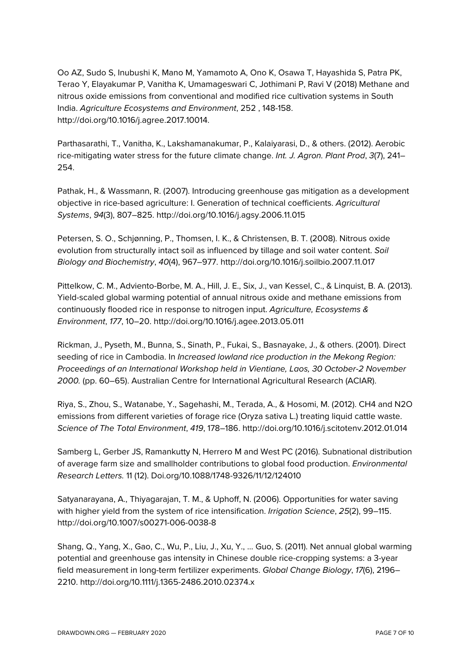Oo AZ, Sudo S, Inubushi K, Mano M, Yamamoto A, Ono K, Osawa T, Hayashida S, Patra PK, Terao Y, Elayakumar P, Vanitha K, Umamageswari C, Jothimani P, Ravi V (2018) Methane and nitrous oxide emissions from conventional and modified rice cultivation systems in South India. *Agriculture Ecosystems and Environment*, 252 , 148-158. http://doi.org/10.1016/j.agree.2017.10014.

Parthasarathi, T., Vanitha, K., Lakshamanakumar, P., Kalaiyarasi, D., & others. (2012). Aerobic rice-mitigating water stress for the future climate change. *Int. J. Agron. Plant Prod*, *3*(7), 241– 254.

Pathak, H., & Wassmann, R. (2007). Introducing greenhouse gas mitigation as a development objective in rice-based agriculture: I. Generation of technical coefficients. *Agricultural Systems*, *94*(3), 807–825. http://doi.org/10.1016/j.agsy.2006.11.015

Petersen, S. O., Schjønning, P., Thomsen, I. K., & Christensen, B. T. (2008). Nitrous oxide evolution from structurally intact soil as influenced by tillage and soil water content. *Soil Biology and Biochemistry*, *40*(4), 967–977. http://doi.org/10.1016/j.soilbio.2007.11.017

Pittelkow, C. M., Adviento-Borbe, M. A., Hill, J. E., Six, J., van Kessel, C., & Linquist, B. A. (2013). Yield-scaled global warming potential of annual nitrous oxide and methane emissions from continuously flooded rice in response to nitrogen input. *Agriculture, Ecosystems & Environment*, *177*, 10–20. http://doi.org/10.1016/j.agee.2013.05.011

Rickman, J., Pyseth, M., Bunna, S., Sinath, P., Fukai, S., Basnayake, J., & others. (2001). Direct seeding of rice in Cambodia. In *Increased lowland rice production in the Mekong Region: Proceedings of an International Workshop held in Vientiane, Laos, 30 October-2 November 2000.* (pp. 60–65). Australian Centre for International Agricultural Research (ACIAR).

Riya, S., Zhou, S., Watanabe, Y., Sagehashi, M., Terada, A., & Hosomi, M. (2012). CH4 and N2O emissions from different varieties of forage rice (Oryza sativa L.) treating liquid cattle waste. *Science of The Total Environment*, *419*, 178–186. http://doi.org/10.1016/j.scitotenv.2012.01.014

Samberg L, Gerber JS, Ramankutty N, Herrero M and West PC (2016). Subnational distribution of average farm size and smallholder contributions to global food production. *Environmental Research Letters.* 11 (12). Doi.org/10.1088/1748-9326/11/12/124010

Satyanarayana, A., Thiyagarajan, T. M., & Uphoff, N. (2006). Opportunities for water saving with higher yield from the system of rice intensification. *Irrigation Science*, *25*(2), 99–115. http://doi.org/10.1007/s00271-006-0038-8

Shang, Q., Yang, X., Gao, C., Wu, P., Liu, J., Xu, Y., … Guo, S. (2011). Net annual global warming potential and greenhouse gas intensity in Chinese double rice-cropping systems: a 3-year field measurement in long-term fertilizer experiments. *Global Change Biology*, *17*(6), 2196– 2210. http://doi.org/10.1111/j.1365-2486.2010.02374.x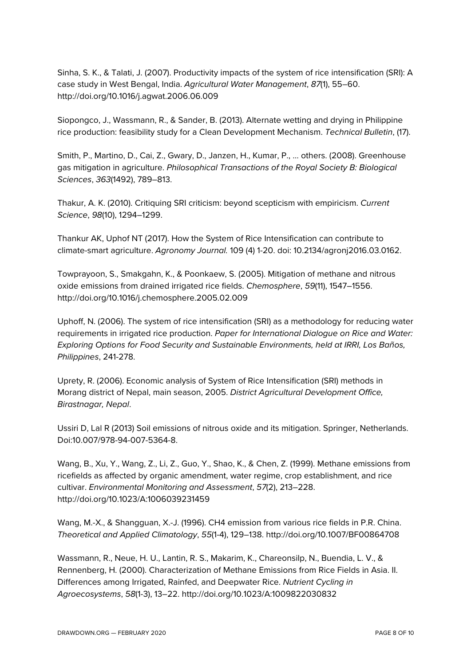Sinha, S. K., & Talati, J. (2007). Productivity impacts of the system of rice intensification (SRI): A case study in West Bengal, India. *Agricultural Water Management*, *87*(1), 55–60. http://doi.org/10.1016/j.agwat.2006.06.009

Siopongco, J., Wassmann, R., & Sander, B. (2013). Alternate wetting and drying in Philippine rice production: feasibility study for a Clean Development Mechanism. *Technical Bulletin*, (17).

Smith, P., Martino, D., Cai, Z., Gwary, D., Janzen, H., Kumar, P., … others. (2008). Greenhouse gas mitigation in agriculture. *Philosophical Transactions of the Royal Society B: Biological Sciences*, *363*(1492), 789–813.

Thakur, A. K. (2010). Critiquing SRI criticism: beyond scepticism with empiricism. *Current Science*, *98*(10), 1294–1299.

Thankur AK, Uphof NT (2017). How the System of Rice Intensification can contribute to climate-smart agriculture. *Agronomy Journal.* 109 (4) 1-20. doi: 10.2134/agronj2016.03.0162.

Towprayoon, S., Smakgahn, K., & Poonkaew, S. (2005). Mitigation of methane and nitrous oxide emissions from drained irrigated rice fields. *Chemosphere*, *59*(11), 1547–1556. http://doi.org/10.1016/j.chemosphere.2005.02.009

Uphoff, N. (2006). The system of rice intensification (SRI) as a methodology for reducing water requirements in irrigated rice production. *Paper for International Dialogue on Rice and Water: Exploring Options for Food Security and Sustainable Environments, held at IRRI, Los Baños, Philippines*, 241-278.

Uprety, R. (2006). Economic analysis of System of Rice Intensification (SRI) methods in Morang district of Nepal, main season, 2005. *District Agricultural Development Office, Birastnagar, Nepal*.

Ussiri D, Lal R (2013) Soil emissions of nitrous oxide and its mitigation. Springer, Netherlands. Doi:10.007/978-94-007-5364-8.

Wang, B., Xu, Y., Wang, Z., Li, Z., Guo, Y., Shao, K., & Chen, Z. (1999). Methane emissions from ricefields as affected by organic amendment, water regime, crop establishment, and rice cultivar. *Environmental Monitoring and Assessment*, *57*(2), 213–228. http://doi.org/10.1023/A:1006039231459

Wang, M.-X., & Shangguan, X.-J. (1996). CH4 emission from various rice fields in P.R. China. *Theoretical and Applied Climatology*, *55*(1-4), 129–138. http://doi.org/10.1007/BF00864708

Wassmann, R., Neue, H. U., Lantin, R. S., Makarim, K., Chareonsilp, N., Buendia, L. V., & Rennenberg, H. (2000). Characterization of Methane Emissions from Rice Fields in Asia. II. Differences among Irrigated, Rainfed, and Deepwater Rice. *Nutrient Cycling in Agroecosystems*, *58*(1-3), 13–22. http://doi.org/10.1023/A:1009822030832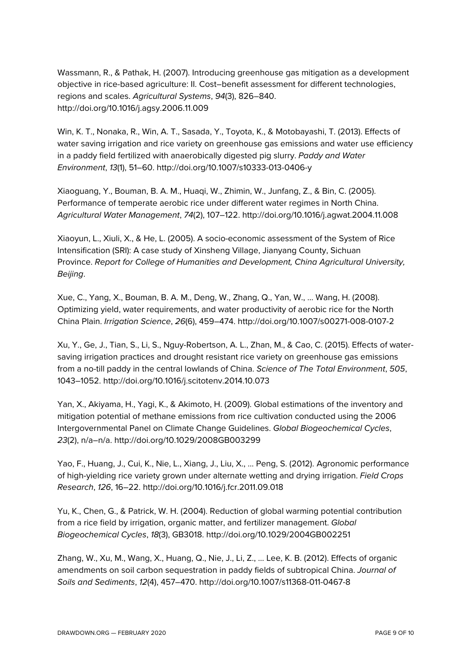Wassmann, R., & Pathak, H. (2007). Introducing greenhouse gas mitigation as a development objective in rice-based agriculture: II. Cost–benefit assessment for different technologies, regions and scales. *Agricultural Systems*, *94*(3), 826–840. http://doi.org/10.1016/j.agsy.2006.11.009

Win, K. T., Nonaka, R., Win, A. T., Sasada, Y., Toyota, K., & Motobayashi, T. (2013). Effects of water saving irrigation and rice variety on greenhouse gas emissions and water use efficiency in a paddy field fertilized with anaerobically digested pig slurry. *Paddy and Water Environment*, *13*(1), 51–60. http://doi.org/10.1007/s10333-013-0406-y

Xiaoguang, Y., Bouman, B. A. M., Huaqi, W., Zhimin, W., Junfang, Z., & Bin, C. (2005). Performance of temperate aerobic rice under different water regimes in North China. *Agricultural Water Management*, *74*(2), 107–122. http://doi.org/10.1016/j.agwat.2004.11.008

Xiaoyun, L., Xiuli, X., & He, L. (2005). A socio-economic assessment of the System of Rice Intensification (SRI): A case study of Xinsheng Village, Jianyang County, Sichuan Province. *Report for College of Humanities and Development, China Agricultural University, Beijing*.

Xue, C., Yang, X., Bouman, B. A. M., Deng, W., Zhang, Q., Yan, W., … Wang, H. (2008). Optimizing yield, water requirements, and water productivity of aerobic rice for the North China Plain. *Irrigation Science*, *26*(6), 459–474. http://doi.org/10.1007/s00271-008-0107-2

Xu, Y., Ge, J., Tian, S., Li, S., Nguy-Robertson, A. L., Zhan, M., & Cao, C. (2015). Effects of watersaving irrigation practices and drought resistant rice variety on greenhouse gas emissions from a no-till paddy in the central lowlands of China. *Science of The Total Environment*, *505*, 1043–1052. http://doi.org/10.1016/j.scitotenv.2014.10.073

Yan, X., Akiyama, H., Yagi, K., & Akimoto, H. (2009). Global estimations of the inventory and mitigation potential of methane emissions from rice cultivation conducted using the 2006 Intergovernmental Panel on Climate Change Guidelines. *Global Biogeochemical Cycles*, *23*(2), n/a–n/a. http://doi.org/10.1029/2008GB003299

Yao, F., Huang, J., Cui, K., Nie, L., Xiang, J., Liu, X., … Peng, S. (2012). Agronomic performance of high-yielding rice variety grown under alternate wetting and drying irrigation. *Field Crops Research*, *126*, 16–22. http://doi.org/10.1016/j.fcr.2011.09.018

Yu, K., Chen, G., & Patrick, W. H. (2004). Reduction of global warming potential contribution from a rice field by irrigation, organic matter, and fertilizer management. *Global Biogeochemical Cycles*, *18*(3), GB3018. http://doi.org/10.1029/2004GB002251

Zhang, W., Xu, M., Wang, X., Huang, Q., Nie, J., Li, Z., … Lee, K. B. (2012). Effects of organic amendments on soil carbon sequestration in paddy fields of subtropical China. *Journal of Soils and Sediments*, *12*(4), 457–470. http://doi.org/10.1007/s11368-011-0467-8